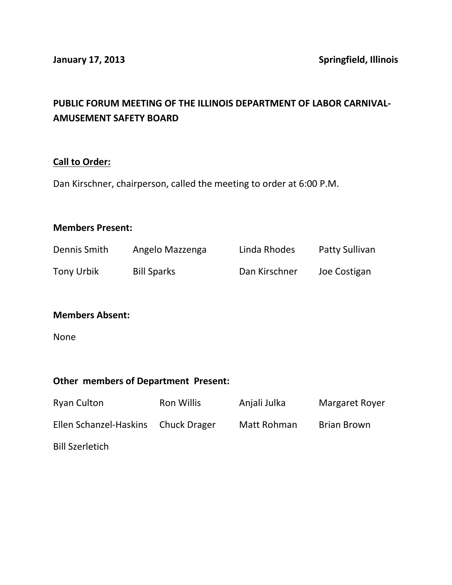# **PUBLIC FORUM MEETING OF THE ILLINOIS DEPARTMENT OF LABOR CARNIVAL-AMUSEMENT SAFETY BOARD**

#### **Call to Order:**

Dan Kirschner, chairperson, called the meeting to order at 6:00 P.M.

#### **Members Present:**

| Dennis Smith      | Angelo Mazzenga    | Linda Rhodes  | Patty Sullivan |
|-------------------|--------------------|---------------|----------------|
| <b>Tony Urbik</b> | <b>Bill Sparks</b> | Dan Kirschner | Joe Costigan   |

# **Members Absent:**

None

## **Other members of Department Present:**

| <b>Ryan Culton</b>                  | Ron Willis | Anjali Julka | Margaret Royer |
|-------------------------------------|------------|--------------|----------------|
| Ellen Schanzel-Haskins Chuck Drager |            | Matt Rohman  | Brian Brown    |
| <b>Bill Szerletich</b>              |            |              |                |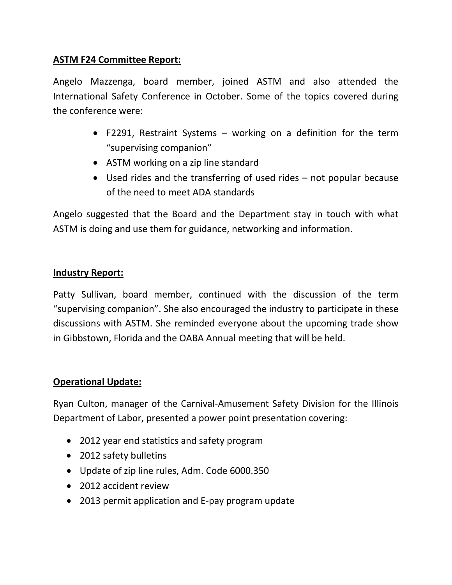# **ASTM F24 Committee Report:**

Angelo Mazzenga, board member, joined ASTM and also attended the International Safety Conference in October. Some of the topics covered during the conference were:

- F2291, Restraint Systems working on a definition for the term "supervising companion"
- ASTM working on a zip line standard
- Used rides and the transferring of used rides not popular because of the need to meet ADA standards

Angelo suggested that the Board and the Department stay in touch with what ASTM is doing and use them for guidance, networking and information.

## **Industry Report:**

Patty Sullivan, board member, continued with the discussion of the term "supervising companion". She also encouraged the industry to participate in these discussions with ASTM. She reminded everyone about the upcoming trade show in Gibbstown, Florida and the OABA Annual meeting that will be held.

## **Operational Update:**

Ryan Culton, manager of the Carnival-Amusement Safety Division for the Illinois Department of Labor, presented a power point presentation covering:

- 2012 year end statistics and safety program
- 2012 safety bulletins
- Update of zip line rules, Adm. Code 6000.350
- 2012 accident review
- 2013 permit application and E-pay program update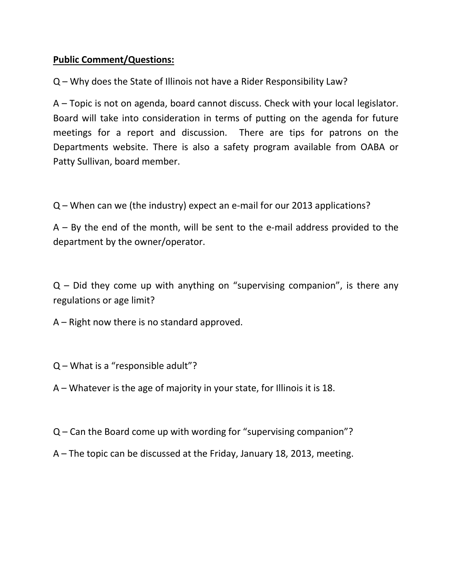# **Public Comment/Questions:**

Q – Why does the State of Illinois not have a Rider Responsibility Law?

A – Topic is not on agenda, board cannot discuss. Check with your local legislator. Board will take into consideration in terms of putting on the agenda for future meetings for a report and discussion. There are tips for patrons on the Departments website. There is also a safety program available from OABA or Patty Sullivan, board member.

Q – When can we (the industry) expect an e-mail for our 2013 applications?

 $A - By$  the end of the month, will be sent to the e-mail address provided to the department by the owner/operator.

 $Q$  – Did they come up with anything on "supervising companion", is there any regulations or age limit?

A – Right now there is no standard approved.

Q – What is a "responsible adult"?

A – Whatever is the age of majority in your state, for Illinois it is 18.

Q – Can the Board come up with wording for "supervising companion"?

A – The topic can be discussed at the Friday, January 18, 2013, meeting.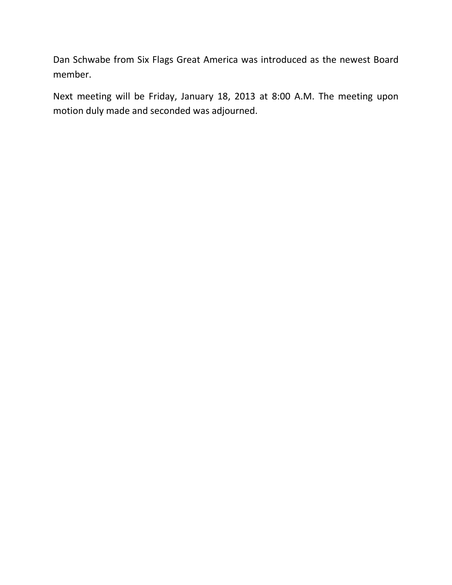Dan Schwabe from Six Flags Great America was introduced as the newest Board member.

Next meeting will be Friday, January 18, 2013 at 8:00 A.M. The meeting upon motion duly made and seconded was adjourned.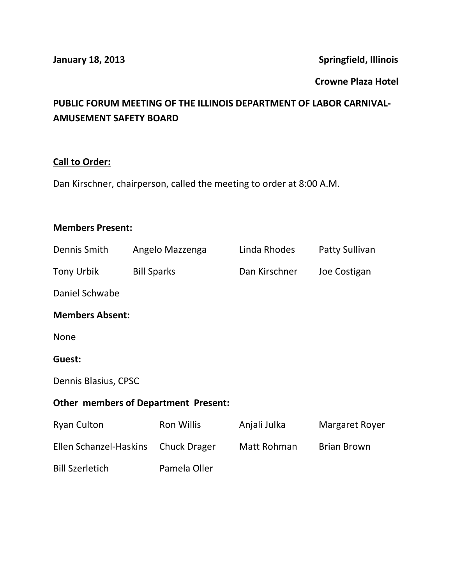**January 18, 2013 Springfield, Illinois**

#### **Crowne Plaza Hotel**

# **PUBLIC FORUM MEETING OF THE ILLINOIS DEPARTMENT OF LABOR CARNIVAL-AMUSEMENT SAFETY BOARD**

# **Call to Order:**

Dan Kirschner, chairperson, called the meeting to order at 8:00 A.M.

## **Members Present:**

| Dennis Smith                                | Angelo Mazzenga     | Linda Rhodes  | <b>Patty Sullivan</b> |  |  |  |
|---------------------------------------------|---------------------|---------------|-----------------------|--|--|--|
| <b>Tony Urbik</b>                           | <b>Bill Sparks</b>  | Dan Kirschner | Joe Costigan          |  |  |  |
| Daniel Schwabe                              |                     |               |                       |  |  |  |
| <b>Members Absent:</b>                      |                     |               |                       |  |  |  |
| <b>None</b>                                 |                     |               |                       |  |  |  |
| Guest:                                      |                     |               |                       |  |  |  |
| Dennis Blasius, CPSC                        |                     |               |                       |  |  |  |
| <b>Other members of Department Present:</b> |                     |               |                       |  |  |  |
| <b>Ryan Culton</b>                          | <b>Ron Willis</b>   | Anjali Julka  | <b>Margaret Royer</b> |  |  |  |
| Ellen Schanzel-Haskins                      | <b>Chuck Drager</b> | Matt Rohman   | <b>Brian Brown</b>    |  |  |  |
| <b>Bill Szerletich</b>                      | Pamela Oller        |               |                       |  |  |  |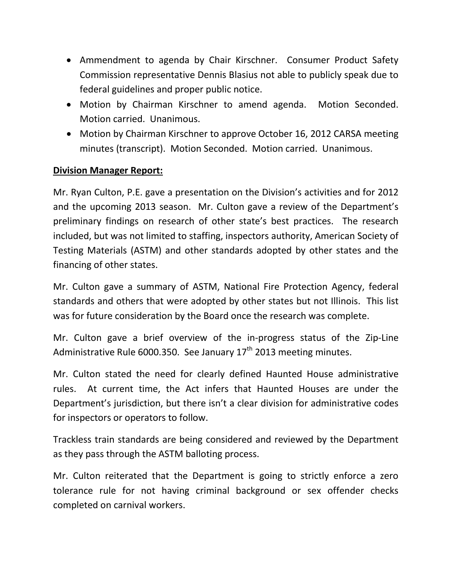- Ammendment to agenda by Chair Kirschner. Consumer Product Safety Commission representative Dennis Blasius not able to publicly speak due to federal guidelines and proper public notice.
- Motion by Chairman Kirschner to amend agenda. Motion Seconded. Motion carried. Unanimous.
- Motion by Chairman Kirschner to approve October 16, 2012 CARSA meeting minutes (transcript). Motion Seconded. Motion carried. Unanimous.

## **Division Manager Report:**

Mr. Ryan Culton, P.E. gave a presentation on the Division's activities and for 2012 and the upcoming 2013 season. Mr. Culton gave a review of the Department's preliminary findings on research of other state's best practices. The research included, but was not limited to staffing, inspectors authority, American Society of Testing Materials (ASTM) and other standards adopted by other states and the financing of other states.

Mr. Culton gave a summary of ASTM, National Fire Protection Agency, federal standards and others that were adopted by other states but not Illinois. This list was for future consideration by the Board once the research was complete.

Mr. Culton gave a brief overview of the in-progress status of the Zip-Line Administrative Rule 6000.350. See January  $17<sup>th</sup>$  2013 meeting minutes.

Mr. Culton stated the need for clearly defined Haunted House administrative rules. At current time, the Act infers that Haunted Houses are under the Department's jurisdiction, but there isn't a clear division for administrative codes for inspectors or operators to follow.

Trackless train standards are being considered and reviewed by the Department as they pass through the ASTM balloting process.

Mr. Culton reiterated that the Department is going to strictly enforce a zero tolerance rule for not having criminal background or sex offender checks completed on carnival workers.